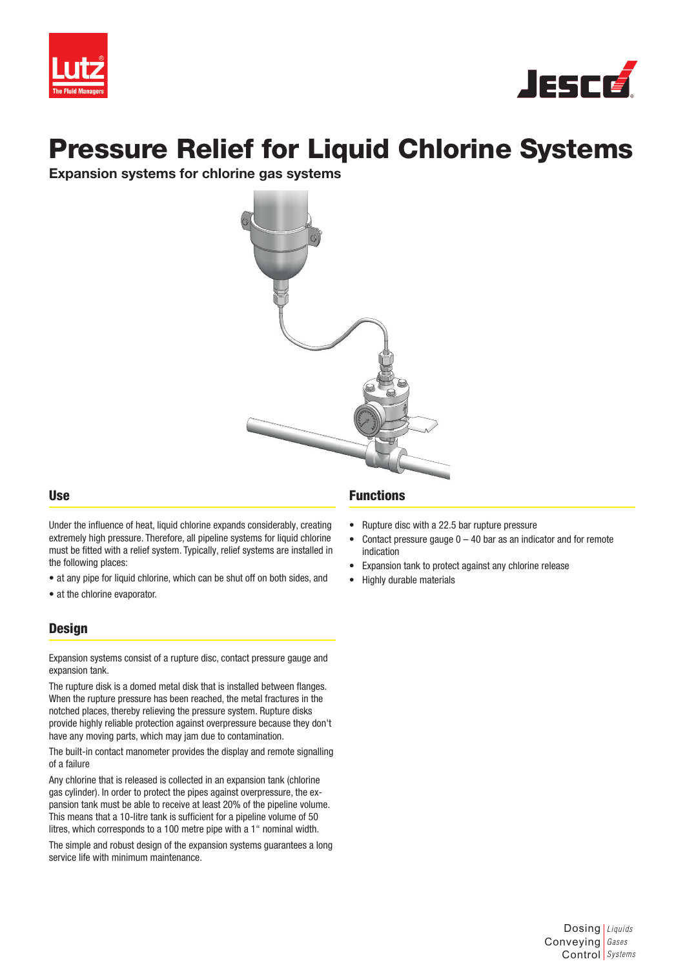



# Pressure Relief for Liquid Chlorine Systems

Expansion systems for chlorine gas systems



#### Use

Under the influence of heat, liquid chlorine expands considerably, creating extremely high pressure. Therefore, all pipeline systems for liquid chlorine must be fitted with a relief system. Typically, relief systems are installed in the following places:

- at any pipe for liquid chlorine, which can be shut off on both sides, and
- at the chlorine evaporator.

#### **Design**

Expansion systems consist of a rupture disc, contact pressure gauge and expansion tank.

The rupture disk is a domed metal disk that is installed between flanges. When the rupture pressure has been reached, the metal fractures in the notched places, thereby relieving the pressure system. Rupture disks provide highly reliable protection against overpressure because they don't have any moving parts, which may jam due to contamination.

The built-in contact manometer provides the display and remote signalling of a failure

Any chlorine that is released is collected in an expansion tank (chlorine gas cylinder). In order to protect the pipes against overpressure, the expansion tank must be able to receive at least 20% of the pipeline volume. This means that a 10-litre tank is sufficient for a pipeline volume of 50 litres, which corresponds to a 100 metre pipe with a 1" nominal width.

The simple and robust design of the expansion systems guarantees a long service life with minimum maintenance.

#### Functions

- Rupture disc with a 22.5 bar rupture pressure
- Contact pressure gauge  $0 40$  bar as an indicator and for remote indication
- Expansion tank to protect against any chlorine release
- Highly durable materials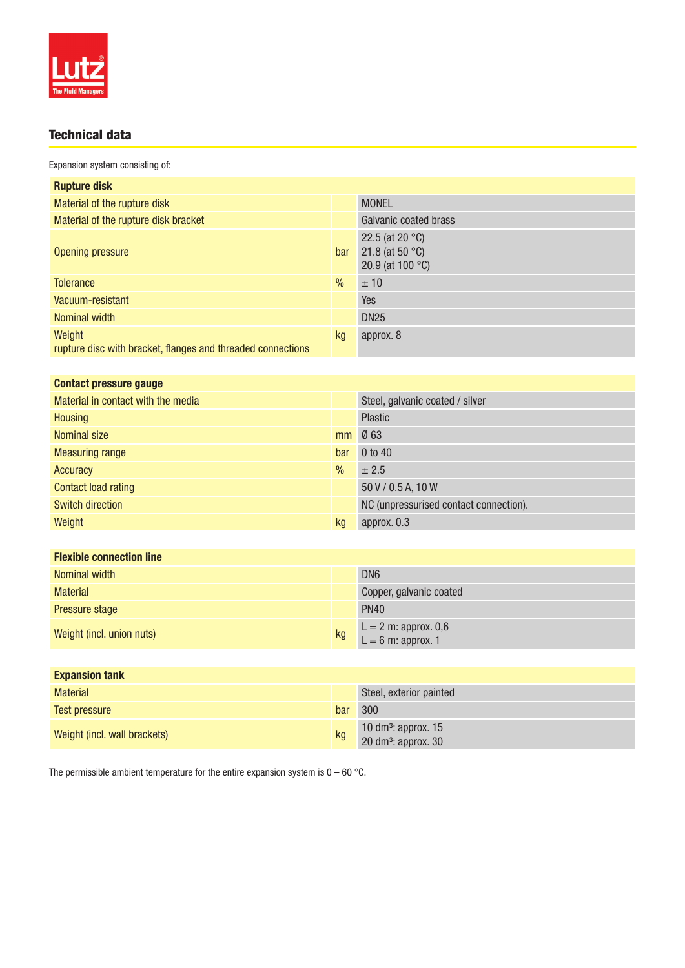

## Technical data

Expansion system consisting of:

| <b>Rupture disk</b>                                                   |               |                                                                                      |
|-----------------------------------------------------------------------|---------------|--------------------------------------------------------------------------------------|
| Material of the rupture disk                                          |               | <b>MONEL</b>                                                                         |
| Material of the rupture disk bracket                                  |               | Galvanic coated brass                                                                |
| Opening pressure                                                      | bar           | 22.5 (at 20 $^{\circ}$ C)<br>21.8 (at 50 $^{\circ}$ C)<br>20.9 (at 100 $^{\circ}$ C) |
| <b>Tolerance</b>                                                      | $\frac{0}{0}$ | ± 10                                                                                 |
| Vacuum-resistant                                                      |               | Yes                                                                                  |
| Nominal width                                                         |               | <b>DN25</b>                                                                          |
| Weight<br>rupture disc with bracket, flanges and threaded connections | kg            | approx. 8                                                                            |

|               | Steel, galvanic coated / silver        |
|---------------|----------------------------------------|
|               | <b>Plastic</b>                         |
| mm            | Ø63                                    |
| bar           | $0$ to $40$                            |
| $\frac{0}{0}$ | ± 2.5                                  |
|               | 50 V / 0.5 A, 10 W                     |
|               | NC (unpressurised contact connection). |
| kg            | approx. 0.3                            |
|               |                                        |

| <b>Flexible connection line</b> |    |                                                |
|---------------------------------|----|------------------------------------------------|
| Nominal width                   |    | DN <sub>6</sub>                                |
| <b>Material</b>                 |    | Copper, galvanic coated                        |
| Pressure stage                  |    | <b>PN40</b>                                    |
| Weight (incl. union nuts)       | kg | $L = 2 m: approx. 0,6$<br>$L = 6 m: approx. 1$ |

| <b>Expansion tank</b>        |     |                                                                    |
|------------------------------|-----|--------------------------------------------------------------------|
| <b>Material</b>              |     | Steel, exterior painted                                            |
| Test pressure                | bar | 300                                                                |
| Weight (incl. wall brackets) | kg  | 10 dm <sup>3</sup> : approx. 15<br>20 dm <sup>3</sup> : approx. 30 |

The permissible ambient temperature for the entire expansion system is  $0 - 60$  °C.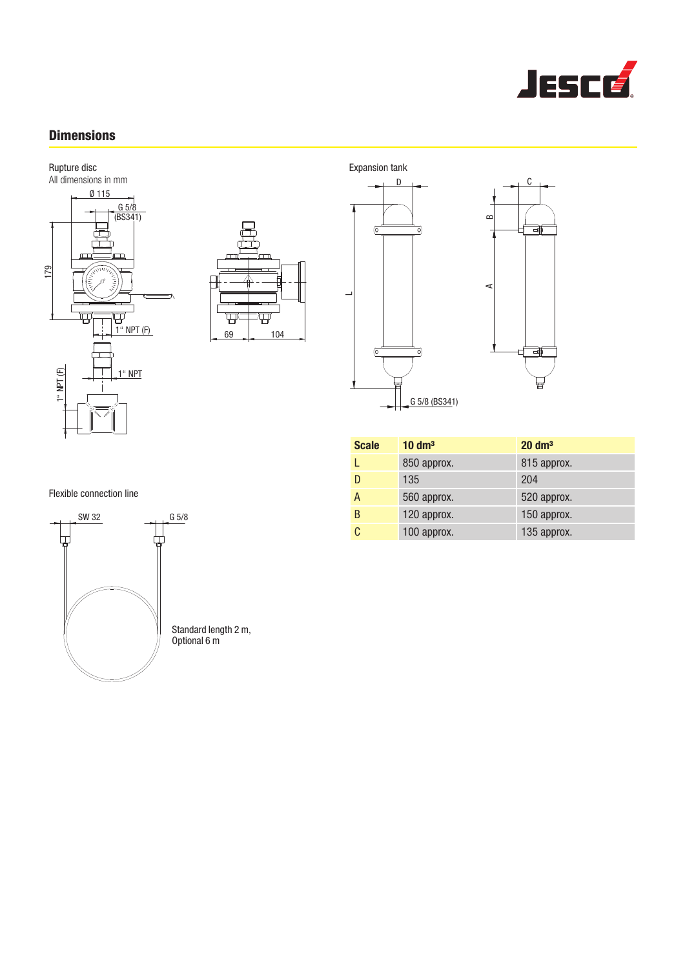

### **Dimensions**







| <b>Scale</b> | $10 \text{ dm}^3$ | $20 \text{ dm}^3$ |
|--------------|-------------------|-------------------|
|              | 850 approx.       | 815 approx.       |
| D            | 135               | 204               |
| A            | 560 approx.       | 520 approx.       |
| B            | 120 approx.       | 150 approx.       |
| C            | 100 approx.       | 135 approx.       |

Flexible connection line



Standard length 2 m,